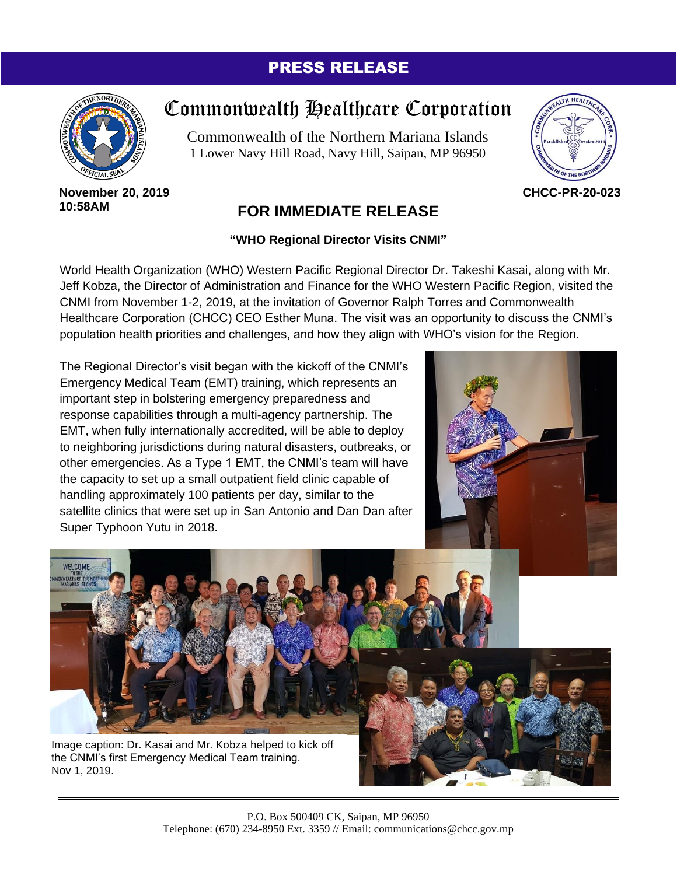## PRESS RELEASE



## Commonwealth Healthcare Corporation

Commonwealth of the Northern Mariana Islands 1 Lower Navy Hill Road, Navy Hill, Saipan, MP 96950



**November 20, 2019 10:58AM**

Nov 1, 2019.

## **FOR IMMEDIATE RELEASE**

## **"WHO Regional Director Visits CNMI"**

World Health Organization (WHO) Western Pacific Regional Director Dr. Takeshi Kasai, along with Mr. Jeff Kobza, the Director of Administration and Finance for the WHO Western Pacific Region, visited the CNMI from November 1-2, 2019, at the invitation of Governor Ralph Torres and Commonwealth Healthcare Corporation (CHCC) CEO Esther Muna. The visit was an opportunity to discuss the CNMI's population health priorities and challenges, and how they align with WHO's vision for the Region.

The Regional Director's visit began with the kickoff of the CNMI's Emergency Medical Team (EMT) training, which represents an important step in bolstering emergency preparedness and response capabilities through a multi-agency partnership. The EMT, when fully internationally accredited, will be able to deploy to neighboring jurisdictions during natural disasters, outbreaks, or other emergencies. As a Type 1 EMT, the CNMI's team will have the capacity to set up a small outpatient field clinic capable of handling approximately 100 patients per day, similar to the satellite clinics that were set up in San Antonio and Dan Dan after Super Typhoon Yutu in 2018.



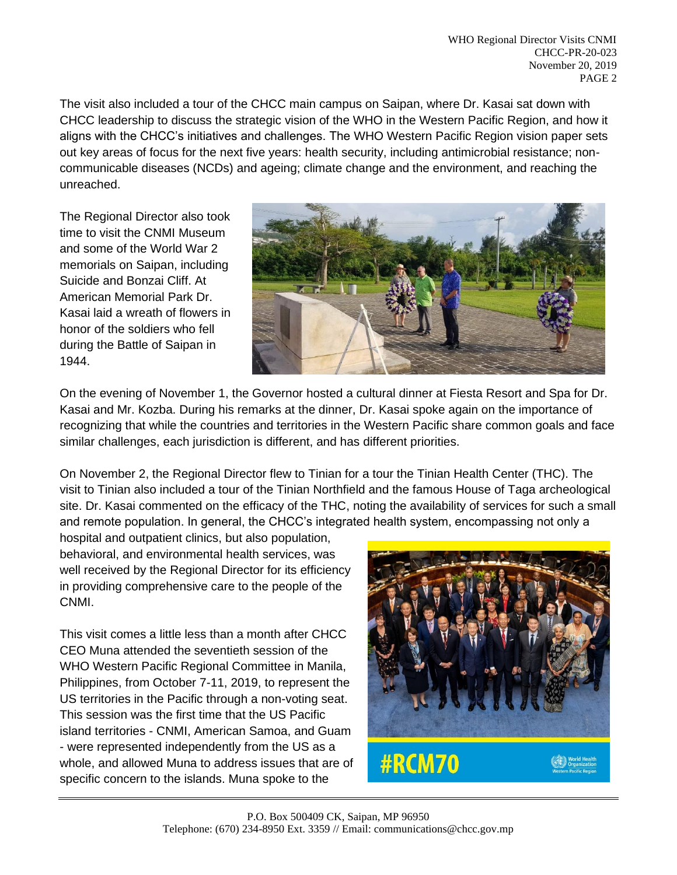The visit also included a tour of the CHCC main campus on Saipan, where Dr. Kasai sat down with CHCC leadership to discuss the strategic vision of the WHO in the Western Pacific Region, and how it aligns with the CHCC's initiatives and challenges. The WHO Western Pacific Region vision paper sets out key areas of focus for the next five years: health security, including antimicrobial resistance; noncommunicable diseases (NCDs) and ageing; climate change and the environment, and reaching the unreached.

The Regional Director also took time to visit the CNMI Museum and some of the World War 2 memorials on Saipan, including Suicide and Bonzai Cliff. At American Memorial Park Dr. Kasai laid a wreath of flowers in honor of the soldiers who fell during the Battle of Saipan in 1944.



On the evening of November 1, the Governor hosted a cultural dinner at Fiesta Resort and Spa for Dr. Kasai and Mr. Kozba. During his remarks at the dinner, Dr. Kasai spoke again on the importance of recognizing that while the countries and territories in the Western Pacific share common goals and face similar challenges, each jurisdiction is different, and has different priorities.

On November 2, the Regional Director flew to Tinian for a tour the Tinian Health Center (THC). The visit to Tinian also included a tour of the Tinian Northfield and the famous House of Taga archeological site. Dr. Kasai commented on the efficacy of the THC, noting the availability of services for such a small and remote population. In general, the CHCC's integrated health system, encompassing not only a

hospital and outpatient clinics, but also population, behavioral, and environmental health services, was well received by the Regional Director for its efficiency in providing comprehensive care to the people of the CNMI.

This visit comes a little less than a month after CHCC CEO Muna attended the seventieth session of the WHO Western Pacific Regional Committee in Manila, Philippines, from October 7-11, 2019, to represent the US territories in the Pacific through a non-voting seat. This session was the first time that the US Pacific island territories - CNMI, American Samoa, and Guam - were represented independently from the US as a whole, and allowed Muna to address issues that are of specific concern to the islands. Muna spoke to the